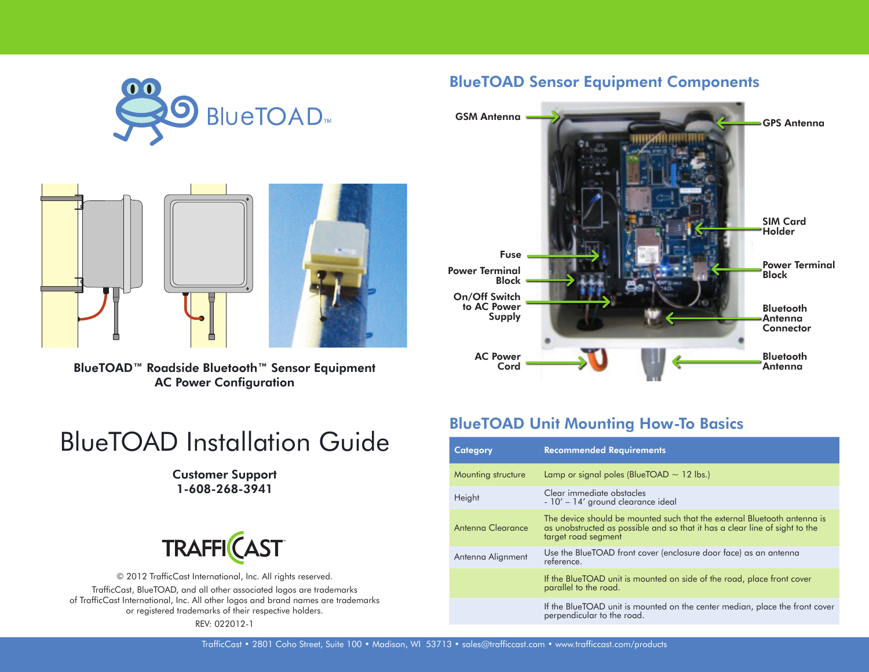



BlueTOAD™ Roadside Bluetooth™ Sensor Equipment AC Power Configuration

# BlueTOAD Installation Guide

#### Customer Support 1-608-268-3941



© 2012 TrafficCast International, Inc. All rights reserved. TrafficCast, BlueTOAD, and all other associated logos are trademarks of TrafficCast International, Inc. All other logos and brand names are trademarks or registered trademarks of their respective holders. REV: 022012-1

#### BlueTOAD Sensor Equipment Components



### BlueTOAD Unit Mounting How-To Basics

| <b>Category</b>    | <b>Recommended Requirements</b>                                                                                                                                                |  |  |
|--------------------|--------------------------------------------------------------------------------------------------------------------------------------------------------------------------------|--|--|
| Mounting structure | Lamp or signal poles (BlueTOAD $\sim$ 12 lbs.)                                                                                                                                 |  |  |
| Height             | Clear immediate obstacles<br>- 10' - 14' ground clearance ideal                                                                                                                |  |  |
| Antenna Clearance  | The device should be mounted such that the external Bluetooth antenna is<br>as unobstructed as possible and so that it has a clear line of sight to the<br>target road segment |  |  |
| Antenna Alignment  | Use the BlueTOAD front cover (enclosure door face) as an antenna<br>reference.                                                                                                 |  |  |
|                    | If the BlueTOAD unit is mounted on side of the road, place front cover<br>parallel to the road.                                                                                |  |  |
|                    | If the BlueTOAD unit is mounted on the center median, place the front cover<br>perpendicular to the road.                                                                      |  |  |